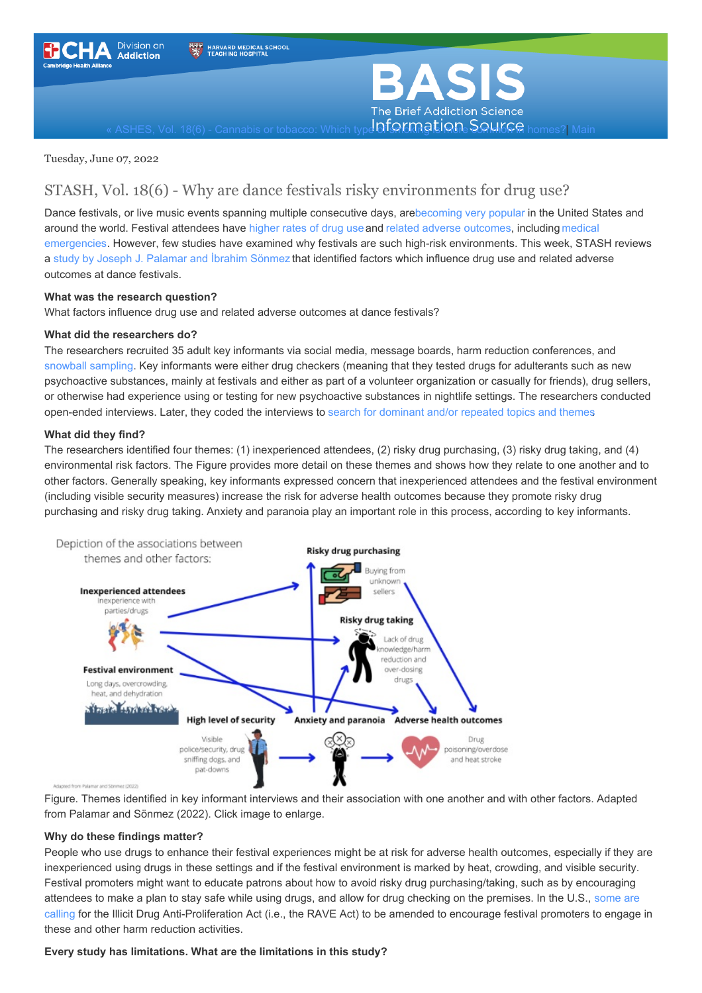



ASHES, Vol. 18(6) - [Cannabis](https://www.basisonline.org/) or tobacco: Which type **Of SCHING SONICE** homes? [Main](https://www.basisonline.org/)

Tuesday, June 07, 2022

# STASH, Vol. 18(6) - Why are dance festivals risky environments for drug use?

Dance festivals, or live music events spanning multiple consecutive days, ar[ebecoming](https://www.internationalmusicsummit.com/wp-content/uploads/2019/05/IMS-Business-Report-2019-vFinal.pdf) very popular in the United States and around the world. Festival attendees have [higher](https://harmreductionjournal.biomedcentral.com/articles/10.1186/s12954-017-0205-7) rates of drug use and related adverse [outcomes](https://www.sciencedirect.com/science/article/abs/pii/S0955395919301835?via%3Dihub), including medical emergencies. However, few studies have examined why festivals are such high-risk [environments.](https://ascpjournal.biomedcentral.com/articles/10.1186/s13722-017-0105-x) This week, STASH reviews a study by Joseph J. [Palamar](https://harmreductionjournal.biomedcentral.com/articles/10.1186/s12954-022-00598-5) and İbrahim Sönmez that identified factors which influence drug use and related adverse outcomes at dance festivals.

## **What was the research question?**

What factors influence drug use and related adverse outcomes at dance festivals?

## **What did the researchers do?**

The researchers recruited 35 adult key informants via social media, message boards, harm reduction conferences, and snowball [sampling](https://www.basisonline.org/basis_glossary.html#snow). Key informants were either drug checkers (meaning that they tested drugs for adulterants such as new psychoactive substances, mainly at festivals and either as part of a volunteer organization or casually for friends), drug sellers, or otherwise had experience using or testing for new psychoactive substances in nightlife settings. The researchers conducted open-ended interviews. Later, they coded the interviews to search for [dominant](https://www.basisonline.org/basis_glossary.html#thematic-analysis) and/or repeated topics and themes.

## **What did they find?**

The researchers identified four themes: (1) inexperienced attendees, (2) risky drug purchasing, (3) risky drug taking, and (4) environmental risk factors. The Figure provides more detail on these themes and shows how they relate to one another and to other factors. Generally speaking, key informants expressed concern that inexperienced attendees and the festival environment (including visible security measures) increase the risk for adverse health outcomes because they promote risky drug purchasing and risky drug taking. Anxiety and paranoia play an important role in this process, according to key informants.



Figure. Themes identified in key informant interviews and their association with one another and with other factors. Adapted from Palamar and Sönmez (2022). Click image to enlarge.

# **Why do these findings matter?**

People who use drugs to enhance their festival experiences might be at risk for adverse health outcomes, especially if they are inexperienced using drugs in these settings and if the festival environment is marked by heat, crowding, and visible security. Festival promoters might want to educate patrons about how to avoid risky drug purchasing/taking, such as by encouraging attendees to make a plan to stay safe while using drugs, and allow for drug checking on the premises. In the U.S., some are calling for the Illicit Drug [Anti-Proliferation](https://amendtheraveact.org/) Act (i.e., the RAVE Act) to be amended to encourage festival promoters to engage in these and other harm reduction activities.

#### **Every study has limitations. What are the limitations in this study?**